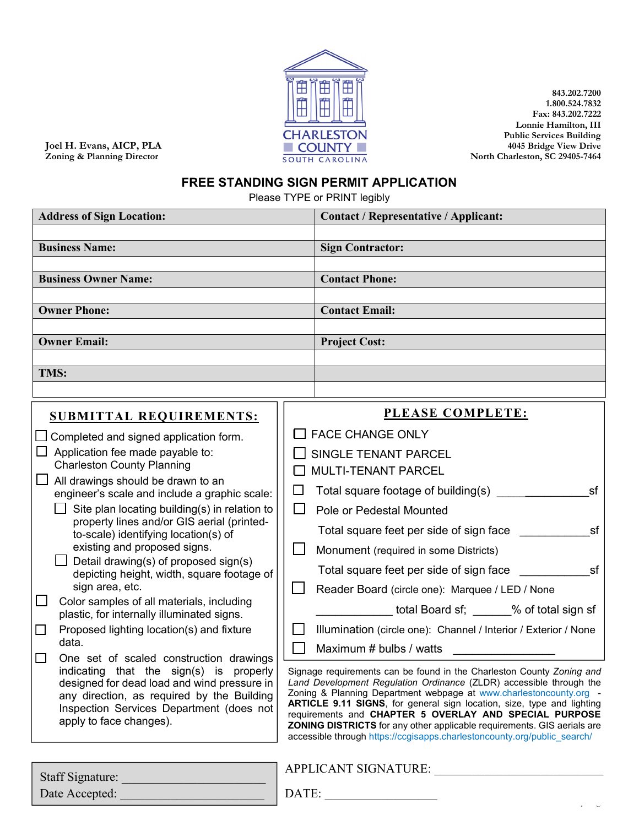

**843.202.7200 1.800.524.7832 Fax: 843.202.7222 Lonnie Hamilton, III Public Services Building 4045 Bridge View Drive North Charleston, SC 29405-7464**

**Joel H. Evans, AICP, PLA Zoning & Planning Director**

## **FREE STANDING SIGN PERMIT APPLICATION**

Please TYPE or PRINT legibly

| <b>Address of Sign Location:</b>                                                                                                                                                                                                                            |                                                                                                                                                                                                                                                                                                                                                                                                                                          | <b>Contact / Representative / Applicant:</b>                    |  |
|-------------------------------------------------------------------------------------------------------------------------------------------------------------------------------------------------------------------------------------------------------------|------------------------------------------------------------------------------------------------------------------------------------------------------------------------------------------------------------------------------------------------------------------------------------------------------------------------------------------------------------------------------------------------------------------------------------------|-----------------------------------------------------------------|--|
|                                                                                                                                                                                                                                                             |                                                                                                                                                                                                                                                                                                                                                                                                                                          |                                                                 |  |
| <b>Business Name:</b>                                                                                                                                                                                                                                       |                                                                                                                                                                                                                                                                                                                                                                                                                                          | <b>Sign Contractor:</b>                                         |  |
|                                                                                                                                                                                                                                                             |                                                                                                                                                                                                                                                                                                                                                                                                                                          |                                                                 |  |
| <b>Business Owner Name:</b>                                                                                                                                                                                                                                 |                                                                                                                                                                                                                                                                                                                                                                                                                                          | <b>Contact Phone:</b>                                           |  |
|                                                                                                                                                                                                                                                             |                                                                                                                                                                                                                                                                                                                                                                                                                                          |                                                                 |  |
| <b>Owner Phone:</b>                                                                                                                                                                                                                                         |                                                                                                                                                                                                                                                                                                                                                                                                                                          | <b>Contact Email:</b>                                           |  |
| <b>Owner Email:</b>                                                                                                                                                                                                                                         |                                                                                                                                                                                                                                                                                                                                                                                                                                          | <b>Project Cost:</b>                                            |  |
|                                                                                                                                                                                                                                                             |                                                                                                                                                                                                                                                                                                                                                                                                                                          |                                                                 |  |
| TMS:                                                                                                                                                                                                                                                        |                                                                                                                                                                                                                                                                                                                                                                                                                                          |                                                                 |  |
|                                                                                                                                                                                                                                                             |                                                                                                                                                                                                                                                                                                                                                                                                                                          |                                                                 |  |
| <b>SUBMITTAL REQUIREMENTS:</b>                                                                                                                                                                                                                              |                                                                                                                                                                                                                                                                                                                                                                                                                                          | PLEASE COMPLETE:                                                |  |
| $\Box$ Completed and signed application form.                                                                                                                                                                                                               |                                                                                                                                                                                                                                                                                                                                                                                                                                          | $\Box$ FACE CHANGE ONLY                                         |  |
| Application fee made payable to:                                                                                                                                                                                                                            |                                                                                                                                                                                                                                                                                                                                                                                                                                          | <b>SINGLE TENANT PARCEL</b>                                     |  |
| <b>Charleston County Planning</b>                                                                                                                                                                                                                           |                                                                                                                                                                                                                                                                                                                                                                                                                                          | MULTI-TENANT PARCEL                                             |  |
| All drawings should be drawn to an                                                                                                                                                                                                                          |                                                                                                                                                                                                                                                                                                                                                                                                                                          |                                                                 |  |
| engineer's scale and include a graphic scale:                                                                                                                                                                                                               | $\Box$                                                                                                                                                                                                                                                                                                                                                                                                                                   | Total square footage of building(s)<br>sf                       |  |
| Site plan locating building(s) in relation to<br>property lines and/or GIS aerial (printed-                                                                                                                                                                 | $\Box$                                                                                                                                                                                                                                                                                                                                                                                                                                   | Pole or Pedestal Mounted                                        |  |
| to-scale) identifying location(s) of                                                                                                                                                                                                                        |                                                                                                                                                                                                                                                                                                                                                                                                                                          | sf<br>Total square feet per side of sign face                   |  |
| existing and proposed signs.                                                                                                                                                                                                                                | $\mathsf{L}$                                                                                                                                                                                                                                                                                                                                                                                                                             | Monument (required in some Districts)                           |  |
| Detail drawing(s) of proposed sign(s)<br>depicting height, width, square footage of                                                                                                                                                                         |                                                                                                                                                                                                                                                                                                                                                                                                                                          | sf<br>Total square feet per side of sign face                   |  |
| sign area, etc.                                                                                                                                                                                                                                             |                                                                                                                                                                                                                                                                                                                                                                                                                                          | Reader Board (circle one): Marquee / LED / None                 |  |
| $\Box$<br>Color samples of all materials, including<br>plastic, for internally illuminated signs.                                                                                                                                                           |                                                                                                                                                                                                                                                                                                                                                                                                                                          |                                                                 |  |
| Proposed lighting location(s) and fixture<br>$\Box$                                                                                                                                                                                                         | $\mathbb{R}^n$                                                                                                                                                                                                                                                                                                                                                                                                                           | Illumination (circle one): Channel / Interior / Exterior / None |  |
| data.                                                                                                                                                                                                                                                       |                                                                                                                                                                                                                                                                                                                                                                                                                                          | Maximum # bulbs / watts                                         |  |
| One set of scaled construction drawings<br>□<br>indicating that the sign(s) is properly<br>designed for dead load and wind pressure in<br>any direction, as required by the Building<br>Inspection Services Department (does not<br>apply to face changes). | Signage requirements can be found in the Charleston County Zoning and<br>Land Development Regulation Ordinance (ZLDR) accessible through the<br>Zoning & Planning Department webpage at www.charlestoncounty.org -<br>ARTICLE 9.11 SIGNS, for general sign location, size, type and lighting<br>requirements and CHAPTER 5 OVERLAY AND SPECIAL PURPOSE<br><b>ZONING DISTRICTS</b> for any other applicable requirements. GIS aerials are |                                                                 |  |

accessible through https://ccgisapps.charlestoncounty.org/public\_search/

| Staff Signature: | APPLICANT SIGNATURE: |
|------------------|----------------------|
| Date Accepted:   | DATE:                |
|                  | – U                  |